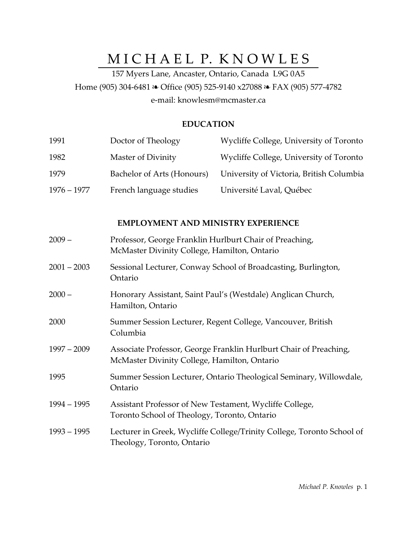# MICHAEL P. KNOWLES

157 Myers Lane, Ancaster, Ontario, Canada L9G 0A5 Home (905) 304-6481 & Office (905) 525-9140 x27088 & FAX (905) 577-4782 e-mail: knowlesm@mcmaster.ca

#### **EDUCATION**

| 1991          | Doctor of Theology         | Wycliffe College, University of Toronto  |
|---------------|----------------------------|------------------------------------------|
| 1982          | Master of Divinity         | Wycliffe College, University of Toronto  |
| 1979          | Bachelor of Arts (Honours) | University of Victoria, British Columbia |
| $1976 - 1977$ | French language studies    | Université Laval, Québec                 |

# **EMPLOYMENT AND MINISTRY EXPERIENCE**

| $2009-$       | Professor, George Franklin Hurlburt Chair of Preaching,<br>McMaster Divinity College, Hamilton, Ontario           |
|---------------|-------------------------------------------------------------------------------------------------------------------|
| $2001 - 2003$ | Sessional Lecturer, Conway School of Broadcasting, Burlington,<br>Ontario                                         |
| $2000 -$      | Honorary Assistant, Saint Paul's (Westdale) Anglican Church,<br>Hamilton, Ontario                                 |
| 2000          | Summer Session Lecturer, Regent College, Vancouver, British<br>Columbia                                           |
| 1997 – 2009   | Associate Professor, George Franklin Hurlburt Chair of Preaching,<br>McMaster Divinity College, Hamilton, Ontario |
| 1995          | Summer Session Lecturer, Ontario Theological Seminary, Willowdale,<br>Ontario                                     |
| 1994 – 1995   | Assistant Professor of New Testament, Wycliffe College,<br>Toronto School of Theology, Toronto, Ontario           |
| 1993 – 1995   | Lecturer in Greek, Wycliffe College/Trinity College, Toronto School of<br>Theology, Toronto, Ontario              |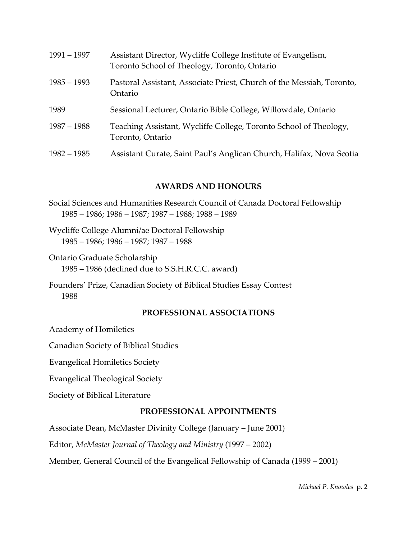| $1991 - 1997$ | Assistant Director, Wycliffe College Institute of Evangelism,<br>Toronto School of Theology, Toronto, Ontario |
|---------------|---------------------------------------------------------------------------------------------------------------|
| $1985 - 1993$ | Pastoral Assistant, Associate Priest, Church of the Messiah, Toronto,<br>Ontario                              |
| 1989          | Sessional Lecturer, Ontario Bible College, Willowdale, Ontario                                                |
| $1987 - 1988$ | Teaching Assistant, Wycliffe College, Toronto School of Theology,<br>Toronto, Ontario                         |
| $1982 - 1985$ | Assistant Curate, Saint Paul's Anglican Church, Halifax, Nova Scotia                                          |

#### **AWARDS AND HONOURS**

- Social Sciences and Humanities Research Council of Canada Doctoral Fellowship 1985 – 1986; 1986 – 1987; 1987 – 1988; 1988 – 1989
- Wycliffe College Alumni/ae Doctoral Fellowship 1985 – 1986; 1986 – 1987; 1987 – 1988
- Ontario Graduate Scholarship 1985 – 1986 (declined due to S.S.H.R.C.C. award)
- Founders' Prize, Canadian Society of Biblical Studies Essay Contest 1988

#### **PROFESSIONAL ASSOCIATIONS**

Academy of Homiletics

Canadian Society of Biblical Studies

Evangelical Homiletics Society

Evangelical Theological Society

Society of Biblical Literature

## **PROFESSIONAL APPOINTMENTS**

Associate Dean, McMaster Divinity College (January – June 2001)

Editor, *McMaster Journal of Theology and Ministry* (1997 – 2002)

Member, General Council of the Evangelical Fellowship of Canada (1999 – 2001)

*Michael P. Knowles* p. 2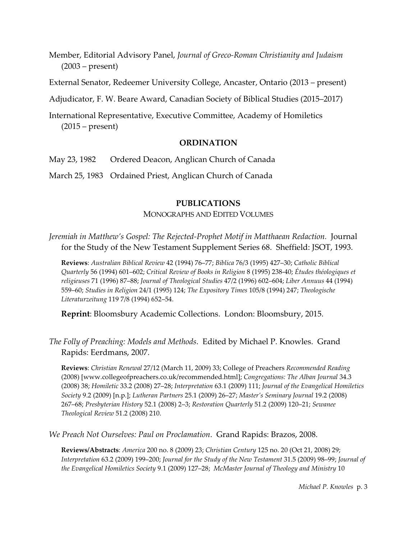Member, Editorial Advisory Panel, *Journal of Greco-Roman Christianity and Judaism* (2003 – present)

External Senator, Redeemer University College, Ancaster, Ontario (2013 – present)

Adjudicator, F. W. Beare Award, Canadian Society of Biblical Studies (2015–2017)

International Representative, Executive Committee, Academy of Homiletics (2015 – present)

#### **ORDINATION**

May 23, 1982 Ordered Deacon, Anglican Church of Canada

March 25, 1983 Ordained Priest, Anglican Church of Canada

#### **PUBLICATIONS**

MONOGRAPHS AND EDITED VOLUMES

*Jeremiah in Matthew's Gospel: The Rejected-Prophet Motif in Matthaean Redaction.* Journal for the Study of the New Testament Supplement Series 68. Sheffield: JSOT, 1993.

**Reviews**: *Australian Biblical Review* 42 (1994) 76–77; *Biblica* 76/3 (1995) 427–30; *Catholic Biblical Quarterly* 56 (1994) 601–602; *Critical Review of Books in Religion* 8 (1995) 238-40; *Études théologiques et religieuses* 71 (1996) 87–88; *Journal of Theological Studies* 47/2 (1996) 602–604; *Liber Annuus* 44 (1994) 559–60; *Studies in Religion* 24/1 (1995) 124; *The Expository Times* 105/8 (1994) 247; *Theologische Literaturzeitung* 119 7/8 (1994) 652–54.

**Reprint**: Bloomsbury Academic Collections. London: Bloomsbury, 2015.

*The Folly of Preaching: Models and Methods*. Edited by Michael P. Knowles. Grand Rapids: Eerdmans, 2007.

**Reviews**: *Christian Renewal* 27/12 (March 11, 2009) 33; College of Preachers *Recommended Reading* (2008) [www.collegeofpreachers.co.uk/recommended.html]; *Congregations: The Alban Journal* 34.3 (2008) 38; *Homiletic* 33.2 (2008) 27–28; *Interpretation* 63.1 (2009) 111; *Journal of the Evangelical Homiletics Society* 9.2 (2009) [n.p.]; *Lutheran Partners* 25.1 (2009) 26–27; *Master's Seminary Journal* 19.2 (2008) 267–68; *Presbyterian History* 52.1 (2008) 2–3; *Restoration Quarterly* 51.2 (2009) 120–21; *Sewanee Theological Review* 51.2 (2008) 210.

*We Preach Not Ourselves: Paul on Proclamation*. Grand Rapids: Brazos, 2008.

**Reviews/Abstracts**: *America* 200 no. 8 (2009) 23; *Christian Century* 125 no. 20 (Oct 21, 2008) 29; *Interpretation* 63.2 (2009) 199–200; *Journal for the Study of the New Testament* 31.5 (2009) 98–99; *Journal of the Evangelical Homiletics Society* 9.1 (2009) 127–28; *McMaster Journal of Theology and Ministry* 10

*Michael P. Knowles* p. 3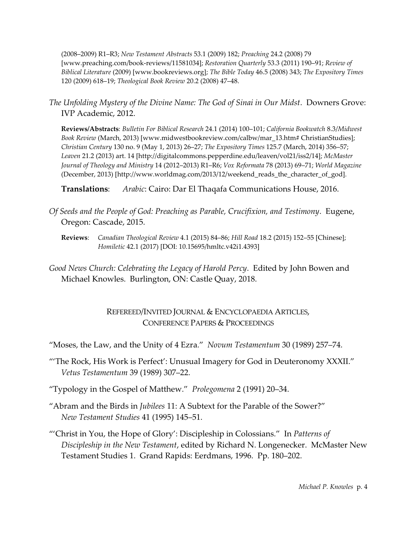(2008–2009) R1–R3; *New Testament Abstracts* 53.1 (2009) 182; *Preaching* 24.2 (2008) 79 [www.preaching.com/book-reviews/11581034]; *Restoration Quarterly* 53.3 (2011) 190–91; *Review of Biblical Literature* (2009) [www.bookreviews.org]; *The Bible Today* 46.5 (2008) 343; *The Expository Times* 120 (2009) 618–19; *Theological Book Review* 20.2 (2008) 47–48.

*The Unfolding Mystery of the Divine Name: The God of Sinai in Our Midst*. Downers Grove: IVP Academic, 2012.

**Reviews/Abstracts**: *Bulletin For Biblical Research* 24.1 (2014) 100–101; *California Bookwatch* 8.3/*Midwest Book Review* (March, 2013) [www.midwestbookreview.com/calbw/mar\_13.htm# ChristianStudies]; *Christian Century* 130 no. 9 (May 1, 2013) 26–27; *The Expository Times* 125.7 (March, 2014) 356–57; *Leaven* 21.2 (2013) art. 14 [http://digitalcommons.pepperdine.edu/leaven/vol21/iss2/14]; *McMaster Journal of Theology and Ministry* 14 (2012–2013) R1–R6; *Vox Reformata* 78 (2013) 69–71; *World Magazine* (December, 2013) [http://www.worldmag.com/2013/12/weekend\_reads\_the\_character\_of\_god].

**Translations**: *Arabic*: Cairo: Dar El Thaqafa Communications House, 2016.

- *Of Seeds and the People of God: Preaching as Parable, Crucifixion, and Testimony*. Eugene, Oregon: Cascade, 2015.
	- **Reviews**: *Canadian Theological Review* 4.1 (2015) 84–86; *Hill Road* 18.2 (2015) 152–55 [Chinese]; *Homiletic* 42.1 (2017) [DOI: 10.15695/hmltc.v42i1.4393]

*Good News Church: Celebrating the Legacy of Harold Percy*. Edited by John Bowen and Michael Knowles. Burlington, ON: Castle Quay, 2018.

# REFEREED/INVITED JOURNAL & ENCYCLOPAEDIA ARTICLES, CONFERENCE PAPERS & PROCEEDINGS

"Moses, the Law, and the Unity of 4 Ezra." *Novum Testamentum* 30 (1989) 257–74.

"'The Rock, His Work is Perfect': Unusual Imagery for God in Deuteronomy XXXII." *Vetus Testamentum* 39 (1989) 307–22.

"Typology in the Gospel of Matthew." *Prolegomena* 2 (1991) 20–34.

- "Abram and the Birds in *Jubilees* 11: A Subtext for the Parable of the Sower?" *New Testament Studies* 41 (1995) 145–51.
- "'Christ in You, the Hope of Glory': Discipleship in Colossians." In *Patterns of Discipleship in the New Testament*, edited by Richard N. Longenecker. McMaster New Testament Studies 1. Grand Rapids: Eerdmans, 1996. Pp. 180–202.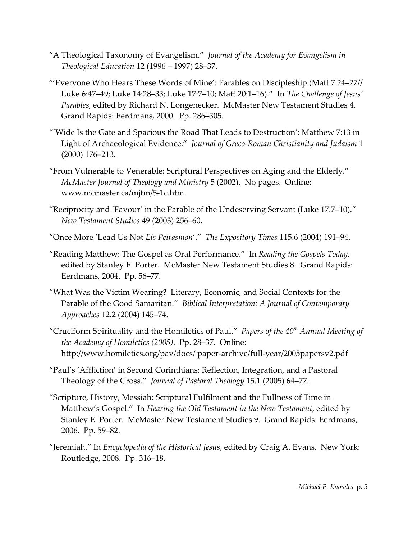- "A Theological Taxonomy of Evangelism." *Journal of the Academy for Evangelism in Theological Education* 12 (1996 – 1997) 28–37.
- "'Everyone Who Hears These Words of Mine': Parables on Discipleship (Matt 7:24–27// Luke 6:47–49; Luke 14:28–33; Luke 17:7–10; Matt 20:1–16)." In *The Challenge of Jesus' Parables*, edited by Richard N. Longenecker. McMaster New Testament Studies 4. Grand Rapids: Eerdmans, 2000. Pp. 286–305.
- "'Wide Is the Gate and Spacious the Road That Leads to Destruction': Matthew 7:13 in Light of Archaeological Evidence." *Journal of Greco-Roman Christianity and Judaism* 1 (2000) 176–213.
- "From Vulnerable to Venerable: Scriptural Perspectives on Aging and the Elderly." *McMaster Journal of Theology and Ministry* 5 (2002). No pages. Online: www.mcmaster.ca/mjtm/5-1c.htm.
- "Reciprocity and 'Favour' in the Parable of the Undeserving Servant (Luke 17.7–10)." *New Testament Studies* 49 (2003) 256–60.
- "Once More 'Lead Us Not *Eis Peirasmon*'." *The Expository Times* 115.6 (2004) 191–94.
- "Reading Matthew: The Gospel as Oral Performance." In *Reading the Gospels Today*, edited by Stanley E. Porter. McMaster New Testament Studies 8. Grand Rapids: Eerdmans, 2004. Pp. 56–77.
- "What Was the Victim Wearing? Literary, Economic, and Social Contexts for the Parable of the Good Samaritan." *Biblical Interpretation: A Journal of Contemporary Approaches* 12.2 (2004) 145–74.
- "Cruciform Spirituality and the Homiletics of Paul." *Papers of the 40th Annual Meeting of the Academy of Homiletics (2005)*. Pp. 28–37. Online: http://www.homiletics.org/pav/docs/ paper-archive/full-year/2005papersv2.pdf
- "Paul's 'Affliction' in Second Corinthians: Reflection, Integration, and a Pastoral Theology of the Cross." *Journal of Pastoral Theology* 15.1 (2005) 64–77.
- "Scripture, History, Messiah: Scriptural Fulfilment and the Fullness of Time in Matthew's Gospel." In *Hearing the Old Testament in the New Testament*, edited by Stanley E. Porter. McMaster New Testament Studies 9. Grand Rapids: Eerdmans, 2006. Pp. 59–82.
- "Jeremiah." In *Encyclopedia of the Historical Jesus*, edited by Craig A. Evans. New York: Routledge, 2008. Pp. 316–18.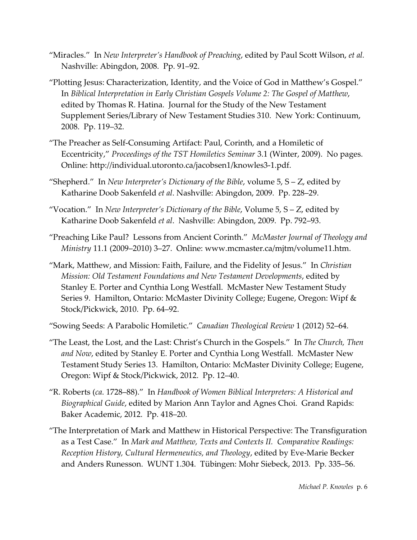- "Miracles." In *New Interpreter's Handbook of Preaching*, edited by Paul Scott Wilson, *et al.* Nashville: Abingdon, 2008. Pp. 91–92.
- "Plotting Jesus: Characterization, Identity, and the Voice of God in Matthew's Gospel." In *Biblical Interpretation in Early Christian Gospels Volume 2: The Gospel of Matthew*, edited by Thomas R. Hatina. Journal for the Study of the New Testament Supplement Series/Library of New Testament Studies 310. New York: Continuum, 2008. Pp. 119–32.
- "The Preacher as Self-Consuming Artifact: Paul, Corinth, and a Homiletic of Eccentricity," *Proceedings of the TST Homiletics Seminar* 3.1 (Winter, 2009). No pages. Online: http://individual.utoronto.ca/jacobsen1/knowles3-1.pdf.
- "Shepherd." In *New Interpreter's Dictionary of the Bible*, volume 5, S Z, edited by Katharine Doob Sakenfeld *et al*. Nashville: Abingdon, 2009. Pp. 228–29.
- "Vocation." In *New Interpreter's Dictionary of the Bible*, Volume 5, S Z, edited by Katharine Doob Sakenfeld *et al*. Nashville: Abingdon, 2009. Pp. 792–93.
- "Preaching Like Paul? Lessons from Ancient Corinth." *McMaster Journal of Theology and Ministry* 11.1 (2009–2010) 3–27. Online: www.mcmaster.ca/mjtm/volume11.htm.
- "Mark, Matthew, and Mission: Faith, Failure, and the Fidelity of Jesus." In *Christian Mission: Old Testament Foundations and New Testament Developments*, edited by Stanley E. Porter and Cynthia Long Westfall. McMaster New Testament Study Series 9. Hamilton, Ontario: McMaster Divinity College; Eugene, Oregon: Wipf & Stock/Pickwick, 2010. Pp. 64–92.
- "Sowing Seeds: A Parabolic Homiletic." *Canadian Theological Review* 1 (2012) 52–64.
- "The Least, the Lost, and the Last: Christ's Church in the Gospels." In *The Church, Then and Now*, edited by Stanley E. Porter and Cynthia Long Westfall. McMaster New Testament Study Series 13. Hamilton, Ontario: McMaster Divinity College; Eugene, Oregon: Wipf & Stock/Pickwick, 2012. Pp. 12–40.
- "R. Roberts (*ca*. 1728–88)." In *Handbook of Women Biblical Interpreters: A Historical and Biographical Guide*, edited by Marion Ann Taylor and Agnes Choi. Grand Rapids: Baker Academic, 2012. Pp. 418–20.
- "The Interpretation of Mark and Matthew in Historical Perspective: The Transfiguration as a Test Case." In *Mark and Matthew, Texts and Contexts II. Comparative Readings: Reception History, Cultural Hermeneutics, and Theology*, edited by Eve-Marie Becker and Anders Runesson. WUNT 1.304. Tübingen: Mohr Siebeck, 2013. Pp. 335–56.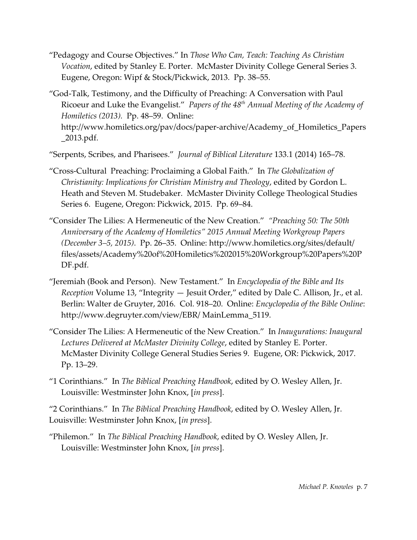- "Pedagogy and Course Objectives." In *Those Who Can, Teach: Teaching As Christian Vocation*, edited by Stanley E. Porter. McMaster Divinity College General Series 3. Eugene, Oregon: Wipf & Stock/Pickwick, 2013. Pp. 38–55.
- "God-Talk, Testimony, and the Difficulty of Preaching: A Conversation with Paul Ricoeur and Luke the Evangelist." *Papers of the 48th Annual Meeting of the Academy of Homiletics (2013).* Pp. 48–59. Online: http://www.homiletics.org/pav/docs/paper-archive/Academy\_of\_Homiletics\_Papers \_2013.pdf.

"Serpents, Scribes, and Pharisees." *Journal of Biblical Literature* 133.1 (2014) 165–78.

- "Cross-Cultural Preaching: Proclaiming a Global Faith." In *The Globalization of Christianity: Implications for Christian Ministry and Theology*, edited by Gordon L. Heath and Steven M. Studebaker. McMaster Divinity College Theological Studies Series 6. Eugene, Oregon: Pickwick, 2015. Pp. 69–84.
- "Consider The Lilies: A Hermeneutic of the New Creation." *"Preaching 50: The 50th Anniversary of the Academy of Homiletics" 2015 Annual Meeting Workgroup Papers (December 3–5, 2015)*. Pp. 26–35. Online: http://www.homiletics.org/sites/default/ files/assets/Academy%20of%20Homiletics%202015%20Workgroup%20Papers%20P DF.pdf.
- "Jeremiah (Book and Person). New Testament." In *Encyclopedia of the Bible and Its Reception* Volume 13, "Integrity — Jesuit Order," edited by Dale C. Allison, Jr., et al. Berlin: Walter de Gruyter, 2016. Col. 918–20. Online: *Encyclopedia of the Bible Online*: http://www.degruyter.com/view/EBR/ MainLemma\_5119.
- "Consider The Lilies: A Hermeneutic of the New Creation." In *Inaugurations: Inaugural Lectures Delivered at McMaster Divinity College*, edited by Stanley E. Porter. McMaster Divinity College General Studies Series 9. Eugene, OR: Pickwick, 2017. Pp. 13–29.
- "1 Corinthians." In *The Biblical Preaching Handbook*, edited by O. Wesley Allen, Jr. Louisville: Westminster John Knox, [*in press*].

"2 Corinthians." In *The Biblical Preaching Handbook*, edited by O. Wesley Allen, Jr. Louisville: Westminster John Knox, [*in press*].

"Philemon." In *The Biblical Preaching Handbook*, edited by O. Wesley Allen, Jr. Louisville: Westminster John Knox, [*in press*].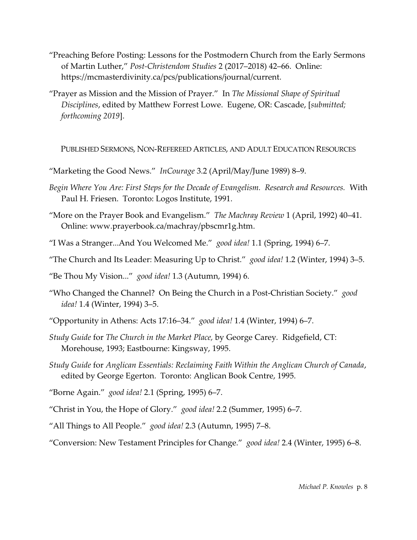- "Preaching Before Posting: Lessons for the Postmodern Church from the Early Sermons of Martin Luther," *Post-Christendom Studies* 2 (2017–2018) 42–66. Online: https://mcmasterdivinity.ca/pcs/publications/journal/current.
- "Prayer as Mission and the Mission of Prayer." In *The Missional Shape of Spiritual Disciplines*, edited by Matthew Forrest Lowe. Eugene, OR: Cascade, [*submitted; forthcoming 2019*].

PUBLISHED SERMONS, NON-REFEREED ARTICLES, AND ADULT EDUCATION RESOURCES

- "Marketing the Good News." *InCourage* 3.2 (April/May/June 1989) 8–9.
- *Begin Where You Are: First Steps for the Decade of Evangelism. Research and Resources.* With Paul H. Friesen. Toronto: Logos Institute, 1991.
- "More on the Prayer Book and Evangelism." *The Machray Review* 1 (April, 1992) 40–41. Online: www.prayerbook.ca/machray/pbscmr1g.htm.
- "I Was a Stranger...And You Welcomed Me." *good idea!* 1.1 (Spring, 1994) 6–7.
- "The Church and Its Leader: Measuring Up to Christ." *good idea!* 1.2 (Winter, 1994) 3–5.
- "Be Thou My Vision..." *good idea!* 1.3 (Autumn, 1994) 6.
- "Who Changed the Channel? On Being the Church in a Post-Christian Society." *good idea!* 1.4 (Winter, 1994) 3–5.
- "Opportunity in Athens: Acts 17:16–34." *good idea!* 1.4 (Winter, 1994) 6–7.
- *Study Guide* for *The Church in the Market Place,* by George Carey*.* Ridgefield, CT: Morehouse, 1993; Eastbourne: Kingsway, 1995.
- *Study Guide* for *Anglican Essentials: Reclaiming Faith Within the Anglican Church of Canada*, edited by George Egerton. Toronto: Anglican Book Centre, 1995.
- "Borne Again." *good idea!* 2.1 (Spring, 1995) 6–7.
- "Christ in You, the Hope of Glory." *good idea!* 2.2 (Summer, 1995) 6–7.
- "All Things to All People." *good idea!* 2.3 (Autumn, 1995) 7–8.
- "Conversion: New Testament Principles for Change." *good idea!* 2.4 (Winter, 1995) 6–8.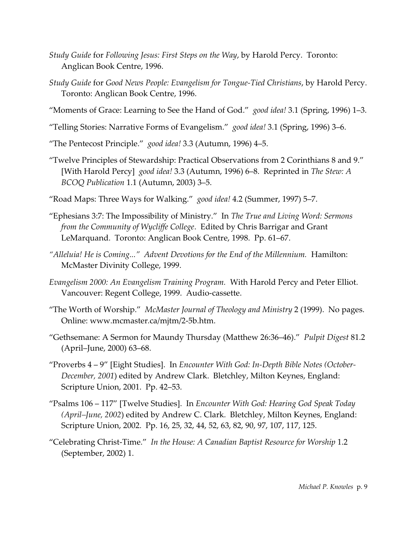- *Study Guide* for *Following Jesus: First Steps on the Way*, by Harold Percy. Toronto: Anglican Book Centre, 1996.
- *Study Guide* for *Good News People: Evangelism for Tongue-Tied Christians*, by Harold Percy. Toronto: Anglican Book Centre, 1996.
- "Moments of Grace: Learning to See the Hand of God." *good idea!* 3.1 (Spring, 1996) 1–3.
- "Telling Stories: Narrative Forms of Evangelism." *good idea!* 3.1 (Spring, 1996) 3–6.
- "The Pentecost Principle." *good idea!* 3.3 (Autumn, 1996) 4–5.
- "Twelve Principles of Stewardship: Practical Observations from 2 Corinthians 8 and 9." [With Harold Percy] *good idea!* 3.3 (Autumn, 1996) 6–8. Reprinted in *The Stew: A BCOQ Publication* 1.1 (Autumn, 2003) 3–5.
- "Road Maps: Three Ways for Walking." *good idea!* 4.2 (Summer, 1997) 5–7.
- "Ephesians 3:7: The Impossibility of Ministry." In *The True and Living Word: Sermons from the Community of Wycliffe College*. Edited by Chris Barrigar and Grant LeMarquand. Toronto: Anglican Book Centre, 1998. Pp. 61–67.
- *"Alleluia! He is Coming..." Advent Devotions for the End of the Millennium.* Hamilton: McMaster Divinity College, 1999.
- *Evangelism 2000: An Evangelism Training Program.* With Harold Percy and Peter Elliot. Vancouver: Regent College, 1999. Audio-cassette.
- "The Worth of Worship." *McMaster Journal of Theology and Ministry* 2 (1999). No pages. Online: www.mcmaster.ca/mjtm/2-5b.htm.
- "Gethsemane: A Sermon for Maundy Thursday (Matthew 26:36–46)." *Pulpit Digest* 81.2 (April–June, 2000) 63–68.
- "Proverbs 4 9" [Eight Studies]. In *Encounter With God: In-Depth Bible Notes (October-December, 2001*) edited by Andrew Clark. Bletchley, Milton Keynes, England: Scripture Union, 2001. Pp. 42–53.
- "Psalms 106 117" [Twelve Studies]. In *Encounter With God: Hearing God Speak Today (April–June, 2002*) edited by Andrew C. Clark. Bletchley, Milton Keynes, England: Scripture Union, 2002. Pp. 16, 25, 32, 44, 52, 63, 82, 90, 97, 107, 117, 125.
- "Celebrating Christ-Time." *In the House: A Canadian Baptist Resource for Worship* 1.2 (September, 2002) 1.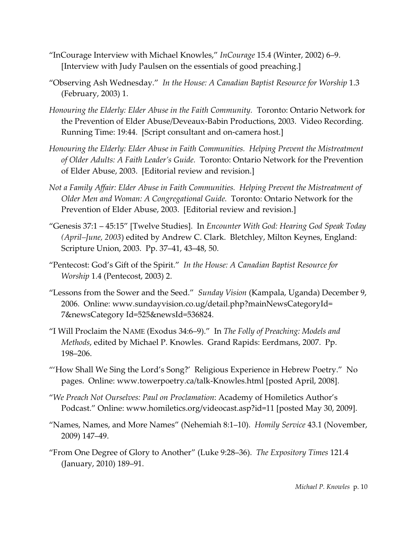- "InCourage Interview with Michael Knowles," *InCourage* 15.4 (Winter, 2002) 6–9. [Interview with Judy Paulsen on the essentials of good preaching.]
- "Observing Ash Wednesday." *In the House: A Canadian Baptist Resource for Worship* 1.3 (February, 2003) 1.
- *Honouring the Elderly: Elder Abuse in the Faith Community.* Toronto: Ontario Network for the Prevention of Elder Abuse/Deveaux-Babin Productions, 2003. Video Recording. Running Time: 19:44. [Script consultant and on-camera host.]
- *Honouring the Elderly: Elder Abuse in Faith Communities. Helping Prevent the Mistreatment of Older Adults: A Faith Leader's Guide.* Toronto: Ontario Network for the Prevention of Elder Abuse, 2003. [Editorial review and revision.]
- *Not a Family Affair: Elder Abuse in Faith Communities. Helping Prevent the Mistreatment of Older Men and Woman: A Congregational Guide.* Toronto: Ontario Network for the Prevention of Elder Abuse, 2003. [Editorial review and revision.]
- "Genesis 37:1 45:15" [Twelve Studies]. In *Encounter With God: Hearing God Speak Today (April–June, 2003*) edited by Andrew C. Clark. Bletchley, Milton Keynes, England: Scripture Union, 2003. Pp. 37–41, 43–48, 50.
- "Pentecost: God's Gift of the Spirit." *In the House: A Canadian Baptist Resource for Worship* 1.4 (Pentecost, 2003) 2.
- "Lessons from the Sower and the Seed." *Sunday Vision* (Kampala, Uganda) December 9, 2006. Online: www.sundayvision.co.ug/detail.php?mainNewsCategoryId= 7&newsCategory Id=525&newsId=536824.
- "I Will Proclaim the NAME (Exodus 34:6–9)." In *The Folly of Preaching: Models and Methods*, edited by Michael P. Knowles. Grand Rapids: Eerdmans, 2007. Pp. 198–206.
- "'How Shall We Sing the Lord's Song?' Religious Experience in Hebrew Poetry." No pages. Online: www.towerpoetry.ca/talk-Knowles.html [posted April, 2008].
- "*We Preach Not Ourselves: Paul on Proclamation*: Academy of Homiletics Author's Podcast." Online: www.homiletics.org/videocast.asp?id=11 [posted May 30, 2009].
- "Names, Names, and More Names" (Nehemiah 8:1–10). *Homily Service* 43.1 (November, 2009) 147–49.
- "From One Degree of Glory to Another" (Luke 9:28–36). *The Expository Times* 121.4 (January, 2010) 189–91.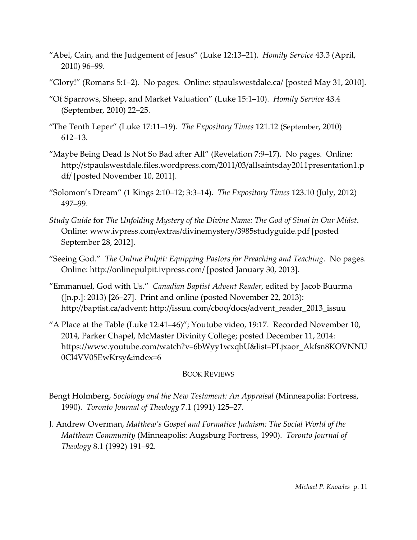- "Abel, Cain, and the Judgement of Jesus" (Luke 12:13–21). *Homily Service* 43.3 (April, 2010) 96–99.
- "Glory!" (Romans 5:1–2). No pages. Online: stpaulswestdale.ca/ [posted May 31, 2010].
- "Of Sparrows, Sheep, and Market Valuation" (Luke 15:1–10). *Homily Service* 43.4 (September, 2010) 22–25.
- "The Tenth Leper" (Luke 17:11–19). *The Expository Times* 121.12 (September, 2010) 612–13.
- "Maybe Being Dead Is Not So Bad after All" (Revelation 7:9–17). No pages. Online: http://stpaulswestdale.files.wordpress.com/2011/03/allsaintsday2011presentation1.p df/ [posted November 10, 2011].
- "Solomon's Dream" (1 Kings 2:10–12; 3:3–14). *The Expository Times* 123.10 (July, 2012) 497–99.
- *Study Guide* for *The Unfolding Mystery of the Divine Name: The God of Sinai in Our Midst*. Online: www.ivpress.com/extras/divinemystery/3985studyguide.pdf [posted September 28, 2012].
- "Seeing God." *The Online Pulpit: Equipping Pastors for Preaching and Teaching*. No pages. Online: http://onlinepulpit.ivpress.com/ [posted January 30, 2013].
- "Emmanuel, God with Us." *Canadian Baptist Advent Reader*, edited by Jacob Buurma ([n.p.]: 2013) [26–27]. Print and online (posted November 22, 2013): http://baptist.ca/advent; http://issuu.com/cboq/docs/advent\_reader\_2013\_issuu
- "A Place at the Table (Luke 12:41–46)"; Youtube video, 19:17. Recorded November 10, 2014, Parker Chapel, McMaster Divinity College; posted December 11, 2014: https://www.youtube.com/watch?v=6bWyy1wxqbU&list=PLjxaor\_Akfsn8KOVNNU 0Cl4VV05EwKrsy&index=6

## BOOK REVIEWS

- Bengt Holmberg, *Sociology and the New Testament: An Appraisal* (Minneapolis: Fortress, 1990). *Toronto Journal of Theology* 7.1 (1991) 125–27.
- J. Andrew Overman, *Matthew's Gospel and Formative Judaism: The Social World of the Matthean Community* (Minneapolis: Augsburg Fortress, 1990). *Toronto Journal of Theology* 8.1 (1992) 191–92.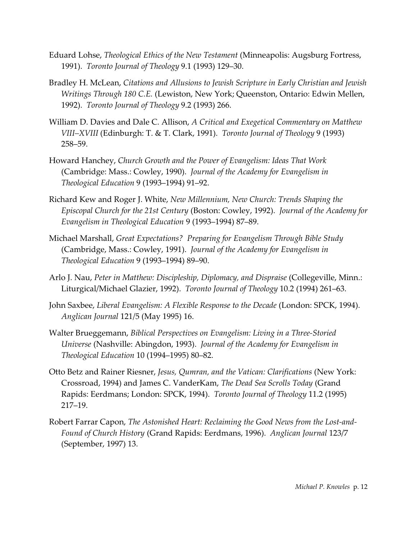- Eduard Lohse, *Theological Ethics of the New Testament* (Minneapolis: Augsburg Fortress, 1991). *Toronto Journal of Theology* 9.1 (1993) 129–30.
- Bradley H. McLean, *Citations and Allusions to Jewish Scripture in Early Christian and Jewish Writings Through 180 C.E.* (Lewiston, New York; Queenston, Ontario: Edwin Mellen, 1992). *Toronto Journal of Theology* 9.2 (1993) 266.
- William D. Davies and Dale C. Allison, *A Critical and Exegetical Commentary on Matthew VIII–XVIII* (Edinburgh: T. & T. Clark, 1991). *Toronto Journal of Theology* 9 (1993) 258–59.
- Howard Hanchey, *Church Growth and the Power of Evangelism: Ideas That Work* (Cambridge: Mass.: Cowley, 1990). *Journal of the Academy for Evangelism in Theological Education* 9 (1993–1994) 91–92.
- Richard Kew and Roger J. White, *New Millennium, New Church: Trends Shaping the Episcopal Church for the 21st Century* (Boston: Cowley, 1992). *Journal of the Academy for Evangelism in Theological Education* 9 (1993–1994) 87–89.
- Michael Marshall, *Great Expectations? Preparing for Evangelism Through Bible Study* (Cambridge, Mass.: Cowley, 1991). *Journal of the Academy for Evangelism in Theological Education* 9 (1993–1994) 89–90.
- Arlo J. Nau, *Peter in Matthew: Discipleship, Diplomacy, and Dispraise* (Collegeville, Minn.: Liturgical/Michael Glazier, 1992). *Toronto Journal of Theology* 10.2 (1994) 261–63.
- John Saxbee, *Liberal Evangelism: A Flexible Response to the Decade* (London: SPCK, 1994). *Anglican Journal* 121/5 (May 1995) 16.
- Walter Brueggemann, *Biblical Perspectives on Evangelism: Living in a Three-Storied Universe* (Nashville: Abingdon, 1993). *Journal of the Academy for Evangelism in Theological Education* 10 (1994–1995) 80–82.
- Otto Betz and Rainer Riesner, *Jesus, Qumran, and the Vatican: Clarifications* (New York: Crossroad, 1994) and James C. VanderKam, *The Dead Sea Scrolls Today* (Grand Rapids: Eerdmans; London: SPCK, 1994). *Toronto Journal of Theology* 11.2 (1995) 217–19.
- Robert Farrar Capon, *The Astonished Heart: Reclaiming the Good News from the Lost-and-Found of Church History* (Grand Rapids: Eerdmans, 1996). *Anglican Journal* 123/7 (September, 1997) 13.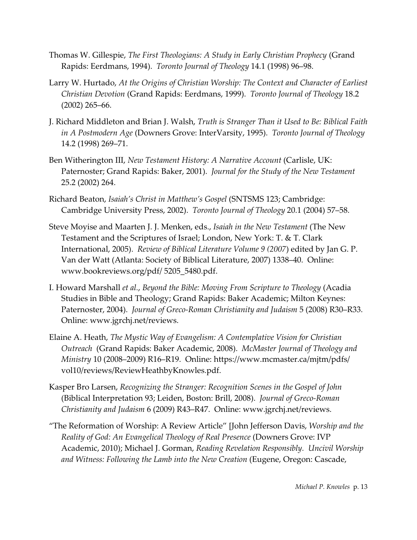- Thomas W. Gillespie, *The First Theologians: A Study in Early Christian Prophecy* (Grand Rapids: Eerdmans, 1994). *Toronto Journal of Theology* 14.1 (1998) 96–98.
- Larry W. Hurtado, *At the Origins of Christian Worship: The Context and Character of Earliest Christian Devotion* (Grand Rapids: Eerdmans, 1999). *Toronto Journal of Theology* 18.2 (2002) 265–66.
- J. Richard Middleton and Brian J. Walsh, *Truth is Stranger Than it Used to Be: Biblical Faith in A Postmodern Age* (Downers Grove: InterVarsity, 1995). *Toronto Journal of Theology* 14.2 (1998) 269–71.
- Ben Witherington III, *New Testament History: A Narrative Account* (Carlisle, UK: Paternoster; Grand Rapids: Baker, 2001). *Journal for the Study of the New Testament* 25.2 (2002) 264.
- Richard Beaton, *Isaiah's Christ in Matthew's Gospel* (SNTSMS 123; Cambridge: Cambridge University Press, 2002). *Toronto Journal of Theology* 20.1 (2004) 57–58.
- Steve Moyise and Maarten J. J. Menken, eds., *Isaiah in the New Testament* (The New Testament and the Scriptures of Israel; London, New York: T. & T. Clark International, 2005). *Review of Biblical Literature Volume 9 (2007*) edited by Jan G. P. Van der Watt (Atlanta: Society of Biblical Literature, 2007) 1338–40. Online: www.bookreviews.org/pdf/ 5205\_5480.pdf.
- I. Howard Marshall *et al.*, *Beyond the Bible: Moving From Scripture to Theology* (Acadia Studies in Bible and Theology; Grand Rapids: Baker Academic; Milton Keynes: Paternoster, 2004). *Journal of Greco-Roman Christianity and Judaism* 5 (2008) R30–R33. Online: www.jgrchj.net/reviews.
- Elaine A. Heath, *The Mystic Way of Evangelism: A Contemplative Vision for Christian Outreach* (Grand Rapids: Baker Academic, 2008). *McMaster Journal of Theology and Ministry* 10 (2008–2009) R16–R19. Online: https://www.mcmaster.ca/mjtm/pdfs/ vol10/reviews/ReviewHeathbyKnowles.pdf.
- Kasper Bro Larsen, *Recognizing the Stranger: Recognition Scenes in the Gospel of John* (Biblical Interpretation 93; Leiden, Boston: Brill, 2008). *Journal of Greco-Roman Christianity and Judaism* 6 (2009) R43–R47. Online: www.jgrchj.net/reviews.
- "The Reformation of Worship: A Review Article" [John Jefferson Davis, *Worship and the Reality of God: An Evangelical Theology of Real Presence* (Downers Grove: IVP Academic, 2010); Michael J. Gorman, *Reading Revelation Responsibly. Uncivil Worship and Witness: Following the Lamb into the New Creation* (Eugene, Oregon: Cascade,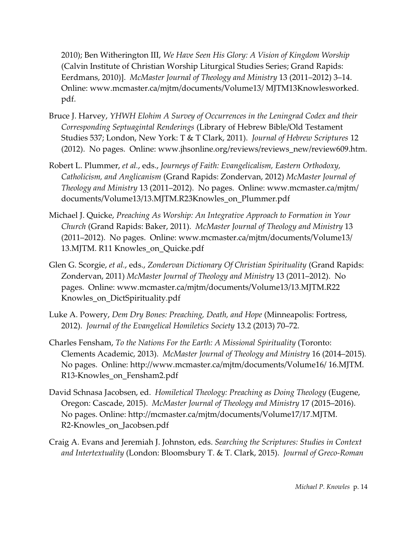2010); Ben Witherington III, *We Have Seen His Glory: A Vision of Kingdom Worship* (Calvin Institute of Christian Worship Liturgical Studies Series; Grand Rapids: Eerdmans, 2010)]. *McMaster Journal of Theology and Ministry* 13 (2011–2012) 3–14. Online: www.mcmaster.ca/mjtm/documents/Volume13/ MJTM13Knowlesworked. pdf.

- Bruce J. Harvey, *YHWH Elohim A Survey of Occurrences in the Leningrad Codex and their Corresponding Septuagintal Renderings* (Library of Hebrew Bible/Old Testament Studies 537; London, New York: T & T Clark, 2011). *Journal of Hebrew Scriptures* 12 (2012). No pages. Online: www.jhsonline.org/reviews/reviews\_new/review609.htm.
- Robert L. Plummer, *et al.*, eds., *Journeys of Faith: Evangelicalism, Eastern Orthodoxy, Catholicism, and Anglicanism* (Grand Rapids: Zondervan, 2012) *McMaster Journal of Theology and Ministry* 13 (2011–2012). No pages. Online: www.mcmaster.ca/mjtm/ documents/Volume13/13.MJTM.R23Knowles\_on\_Plummer.pdf
- Michael J. Quicke, *Preaching As Worship: An Integrative Approach to Formation in Your Church* (Grand Rapids: Baker, 2011). *McMaster Journal of Theology and Ministry* 13 (2011–2012). No pages. Online: www.mcmaster.ca/mjtm/documents/Volume13/ 13.MJTM. R11 Knowles\_on\_Quicke.pdf
- Glen G. Scorgie, *et al.*, eds., *Zondervan Dictionary Of Christian Spirituality* (Grand Rapids: Zondervan, 2011) *McMaster Journal of Theology and Ministry* 13 (2011–2012). No pages. Online: www.mcmaster.ca/mjtm/documents/Volume13/13.MJTM.R22 Knowles\_on\_DictSpirituality.pdf
- Luke A. Powery, *Dem Dry Bones: Preaching, Death, and Hope* (Minneapolis: Fortress, 2012). *Journal of the Evangelical Homiletics Society* 13.2 (2013) 70–72.
- Charles Fensham, *To the Nations For the Earth: A Missional Spirituality* (Toronto: Clements Academic, 2013). *McMaster Journal of Theology and Ministry* 16 (2014–2015)*.*  No pages. Online: http://www.mcmaster.ca/mjtm/documents/Volume16/ 16.MJTM. R13-Knowles\_on\_Fensham2.pdf
- David Schnasa Jacobsen, ed. *Homiletical Theology: Preaching as Doing Theology* (Eugene, Oregon: Cascade, 2015). *McMaster Journal of Theology and Ministry* 17 (2015–2016). No pages. Online: http://mcmaster.ca/mjtm/documents/Volume17/17.MJTM. R2-Knowles\_on\_Jacobsen.pdf
- Craig A. Evans and Jeremiah J. Johnston, eds. *Searching the Scriptures: Studies in Context and Intertextuality* (London: Bloomsbury T. & T. Clark, 2015). *Journal of Greco-Roman*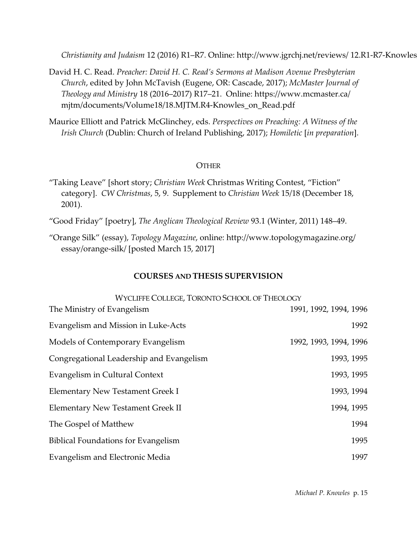*Christianity and Judaism* 12 (2016) R1–R7. Online: http://www.jgrchj.net/reviews/ 12.R1-R7-Knowles\_on\_Evans.pdf

- David H. C. Read. *Preacher: David H. C. Read's Sermons at Madison Avenue Presbyterian Church*, edited by John McTavish (Eugene, OR: Cascade, 2017); *McMaster Journal of Theology and Ministry* 18 (2016–2017) R17–21. Online: https://www.mcmaster.ca/ mjtm/documents/Volume18/18.MJTM.R4-Knowles\_on\_Read.pdf
- Maurice Elliott and Patrick McGlinchey, eds. *Perspectives on Preaching: A Witness of the Irish Church* (Dublin: Church of Ireland Publishing, 2017); *Homiletic* [*in preparation*].

#### **OTHER**

"Taking Leave" [short story; *Christian Week* Christmas Writing Contest, "Fiction" category]. *CW Christmas*, 5, 9. Supplement to *Christian Week* 15/18 (December 18, 2001).

"Good Friday" [poetry], *The Anglican Theological Review* 93.1 (Winter, 2011) 148–49.

"Orange Silk" (essay), *Topology Magazine*, online: http://www.topologymagazine.org/ essay/orange-silk/ [posted March 15, 2017]

#### **COURSES AND THESIS SUPERVISION**

| WYCLIFFE COLLEGE, TORONTO SCHOOL OF THEOLOGY |                        |
|----------------------------------------------|------------------------|
| The Ministry of Evangelism                   | 1991, 1992, 1994, 1996 |
| Evangelism and Mission in Luke-Acts          | 1992                   |
| Models of Contemporary Evangelism            | 1992, 1993, 1994, 1996 |
| Congregational Leadership and Evangelism     | 1993, 1995             |
| Evangelism in Cultural Context               | 1993, 1995             |
| Elementary New Testament Greek I             | 1993, 1994             |
| Elementary New Testament Greek II            | 1994, 1995             |
| The Gospel of Matthew                        | 1994                   |
| <b>Biblical Foundations for Evangelism</b>   | 1995                   |
| Evangelism and Electronic Media              | 1997                   |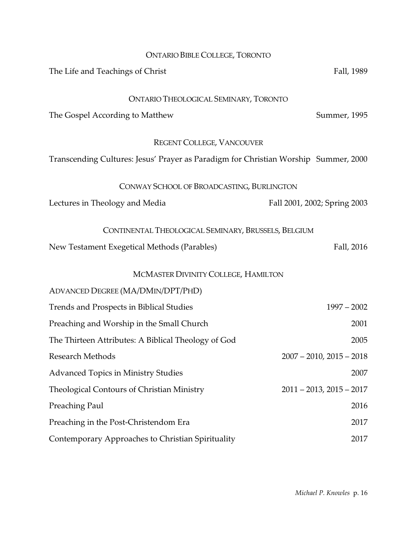| <b>ONTARIO BIBLE COLLEGE, TORONTO</b>                                               |                               |
|-------------------------------------------------------------------------------------|-------------------------------|
| The Life and Teachings of Christ                                                    | Fall, 1989                    |
|                                                                                     |                               |
| <b>ONTARIO THEOLOGICAL SEMINARY, TORONTO</b>                                        |                               |
| The Gospel According to Matthew                                                     | Summer, 1995                  |
| <b>REGENT COLLEGE, VANCOUVER</b>                                                    |                               |
| Transcending Cultures: Jesus' Prayer as Paradigm for Christian Worship Summer, 2000 |                               |
| CONWAY SCHOOL OF BROADCASTING, BURLINGTON                                           |                               |
| Lectures in Theology and Media                                                      | Fall 2001, 2002; Spring 2003  |
| CONTINENTAL THEOLOGICAL SEMINARY, BRUSSELS, BELGIUM                                 |                               |
| New Testament Exegetical Methods (Parables)                                         | Fall, 2016                    |
| MCMASTER DIVINITY COLLEGE, HAMILTON                                                 |                               |
| ADVANCED DEGREE (MA/DMIN/DPT/PHD)                                                   |                               |
| Trends and Prospects in Biblical Studies                                            | $1997 - 2002$                 |
| Preaching and Worship in the Small Church                                           | 2001                          |
| The Thirteen Attributes: A Biblical Theology of God                                 | 2005                          |
| Research Methods                                                                    | $2007 - 2010$ , $2015 - 2018$ |
| <b>Advanced Topics in Ministry Studies</b>                                          | 2007                          |
| Theological Contours of Christian Ministry                                          | $2011 - 2013$ , $2015 - 2017$ |
| Preaching Paul                                                                      | 2016                          |
| Preaching in the Post-Christendom Era                                               | 2017                          |
| Contemporary Approaches to Christian Spirituality                                   | 2017                          |
|                                                                                     |                               |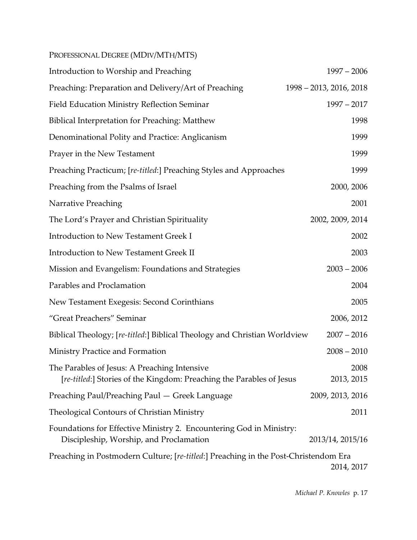| PROFESSIONAL DEGREE (MDIV/MTH/MTS)                                                                                   |                         |
|----------------------------------------------------------------------------------------------------------------------|-------------------------|
| Introduction to Worship and Preaching                                                                                | $1997 - 2006$           |
| Preaching: Preparation and Delivery/Art of Preaching                                                                 | 1998 - 2013, 2016, 2018 |
| <b>Field Education Ministry Reflection Seminar</b>                                                                   | $1997 - 2017$           |
| <b>Biblical Interpretation for Preaching: Matthew</b>                                                                | 1998                    |
| Denominational Polity and Practice: Anglicanism                                                                      | 1999                    |
| Prayer in the New Testament                                                                                          | 1999                    |
| Preaching Practicum; [re-titled:] Preaching Styles and Approaches                                                    | 1999                    |
| Preaching from the Psalms of Israel                                                                                  | 2000, 2006              |
| Narrative Preaching                                                                                                  | 2001                    |
| The Lord's Prayer and Christian Spirituality                                                                         | 2002, 2009, 2014        |
| <b>Introduction to New Testament Greek I</b>                                                                         | 2002                    |
| <b>Introduction to New Testament Greek II</b>                                                                        | 2003                    |
| Mission and Evangelism: Foundations and Strategies                                                                   | $2003 - 2006$           |
| Parables and Proclamation                                                                                            | 2004                    |
| New Testament Exegesis: Second Corinthians                                                                           | 2005                    |
| "Great Preachers" Seminar                                                                                            | 2006, 2012              |
| Biblical Theology; [re-titled:] Biblical Theology and Christian Worldview                                            | $2007 - 2016$           |
| Ministry Practice and Formation                                                                                      | $2008 - 2010$           |
| The Parables of Jesus: A Preaching Intensive<br>[re-titled:] Stories of the Kingdom: Preaching the Parables of Jesus | 2008<br>2013, 2015      |
| Preaching Paul/Preaching Paul — Greek Language                                                                       | 2009, 2013, 2016        |
| Theological Contours of Christian Ministry                                                                           | 2011                    |
| Foundations for Effective Ministry 2. Encountering God in Ministry:<br>Discipleship, Worship, and Proclamation       | 2013/14, 2015/16        |
| Preaching in Postmodern Culture; [re-titled:] Preaching in the Post-Christendom Era                                  | 2014, 2017              |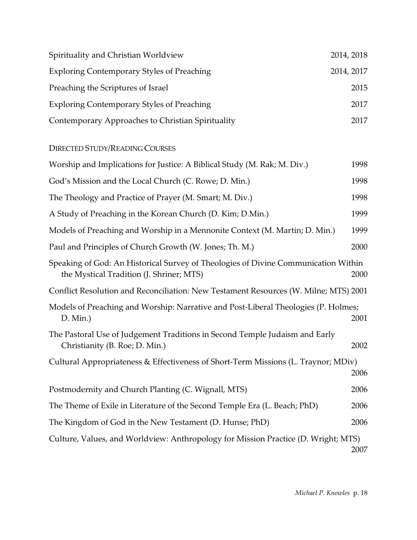| Spirituality and Christian Worldview              | 2014, 2018 |
|---------------------------------------------------|------------|
| <b>Exploring Contemporary Styles of Preaching</b> | 2014, 2017 |
| Preaching the Scriptures of Israel                | 2015       |
| <b>Exploring Contemporary Styles of Preaching</b> | 2017       |
| Contemporary Approaches to Christian Spirituality | 2017       |

# DIRECTED STUDY/READING COURSES

| Worship and Implications for Justice: A Biblical Study (M. Rak; M. Div.)                                                       | 1998 |
|--------------------------------------------------------------------------------------------------------------------------------|------|
| God's Mission and the Local Church (C. Rowe; D. Min.)                                                                          | 1998 |
| The Theology and Practice of Prayer (M. Smart; M. Div.)                                                                        | 1998 |
| A Study of Preaching in the Korean Church (D. Kim; D.Min.)                                                                     | 1999 |
| Models of Preaching and Worship in a Mennonite Context (M. Martin; D. Min.)                                                    | 1999 |
| Paul and Principles of Church Growth (W. Jones; Th. M.)                                                                        | 2000 |
| Speaking of God: An Historical Survey of Theologies of Divine Communication Within<br>the Mystical Tradition (J. Shriner; MTS) | 2000 |
| Conflict Resolution and Reconciliation: New Testament Resources (W. Milne; MTS) 2001                                           |      |
| Models of Preaching and Worship: Narrative and Post-Liberal Theologies (P. Holmes;<br>$D.$ Min.)                               | 2001 |
| The Pastoral Use of Judgement Traditions in Second Temple Judaism and Early<br>Christianity (B. Roe; D. Min.)                  | 2002 |
| Cultural Appropriateness & Effectiveness of Short-Term Missions (L. Traynor; MDiv)                                             | 2006 |
| Postmodernity and Church Planting (C. Wignall, MTS)                                                                            | 2006 |
| The Theme of Exile in Literature of the Second Temple Era (L. Beach; PhD)                                                      | 2006 |
| The Kingdom of God in the New Testament (D. Hunse; PhD)                                                                        | 2006 |
| Culture, Values, and Worldview: Anthropology for Mission Practice (D. Wright; MTS)                                             | 2007 |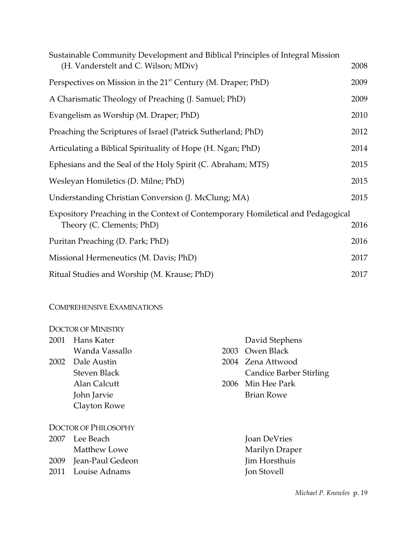| Sustainable Community Development and Biblical Principles of Integral Mission<br>(H. Vanderstelt and C. Wilson; MDiv) | 2008 |
|-----------------------------------------------------------------------------------------------------------------------|------|
| Perspectives on Mission in the 21 <sup>st</sup> Century (M. Draper; PhD)                                              | 2009 |
| A Charismatic Theology of Preaching (J. Samuel; PhD)                                                                  | 2009 |
| Evangelism as Worship (M. Draper; PhD)                                                                                | 2010 |
| Preaching the Scriptures of Israel (Patrick Sutherland; PhD)                                                          | 2012 |
| Articulating a Biblical Spirituality of Hope (H. Ngan; PhD)                                                           | 2014 |
| Ephesians and the Seal of the Holy Spirit (C. Abraham; MTS)                                                           | 2015 |
| Wesleyan Homiletics (D. Milne; PhD)                                                                                   | 2015 |
| Understanding Christian Conversion (J. McClung; MA)                                                                   | 2015 |
| Expository Preaching in the Context of Contemporary Homiletical and Pedagogical<br>Theory (C. Clements; PhD)          | 2016 |
| Puritan Preaching (D. Park; PhD)                                                                                      | 2016 |
| Missional Hermeneutics (M. Davis; PhD)                                                                                | 2017 |
| Ritual Studies and Worship (M. Krause; PhD)                                                                           | 2017 |

#### COMPREHENSIVE EXAMINATIONS

| <b>DOCTOR OF MINISTRY</b>   |                     |  |                                |  |
|-----------------------------|---------------------|--|--------------------------------|--|
| 2001                        | Hans Kater          |  | David Stephens                 |  |
|                             | Wanda Vassallo      |  | 2003 Owen Black                |  |
| 2002                        | Dale Austin         |  | 2004 Zena Attwood              |  |
|                             | <b>Steven Black</b> |  | <b>Candice Barber Stirling</b> |  |
|                             | Alan Calcutt        |  | 2006 Min Hee Park              |  |
|                             | John Jarvie         |  | <b>Brian Rowe</b>              |  |
|                             | Clayton Rowe        |  |                                |  |
| <b>DOCTOR OF PHILOSOPHY</b> |                     |  |                                |  |
| 2007                        | Lee Beach           |  | Joan DeVries                   |  |
|                             | Matthew Lowe        |  | Marilyn Draper                 |  |
| 2009                        | Jean-Paul Gedeon    |  | Jim Horsthuis                  |  |
| 2011                        | Louise Adnams       |  | Jon Stovell                    |  |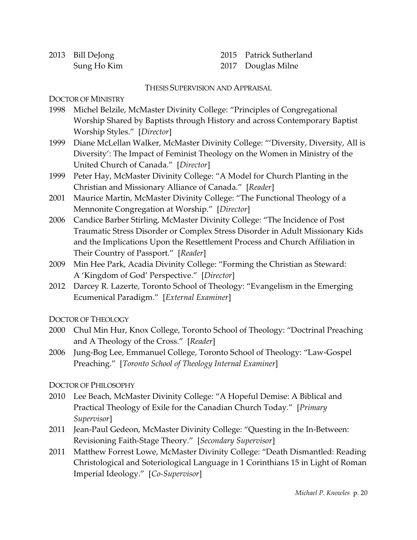| 2013 Bill DeJong |
|------------------|
| Sung Ho Kim      |

2015 Patrick Sutherland 2017 Douglas Milne

THESIS SUPERVISION AND APPRAISAL

DOCTOR OF MINISTRY

- 1998 Michel Belzile, McMaster Divinity College: "Principles of Congregational Worship Shared by Baptists through History and across Contemporary Baptist Worship Styles." [*Director*]
- 1999 Diane McLellan Walker, McMaster Divinity College: "'Diversity, Diversity, All is Diversity': The Impact of Feminist Theology on the Women in Ministry of the United Church of Canada." [*Director*]
- 1999 Peter Hay, McMaster Divinity College: "A Model for Church Planting in the Christian and Missionary Alliance of Canada." [*Reader*]
- 2001 Maurice Martin, McMaster Divinity College: "The Functional Theology of a Mennonite Congregation at Worship." [*Director*]
- 2006 Candice Barber Stirling, McMaster Divinity College: "The Incidence of Post Traumatic Stress Disorder or Complex Stress Disorder in Adult Missionary Kids and the Implications Upon the Resettlement Process and Church Affiliation in Their Country of Passport." [*Reader*]
- 2009 Min Hee Park, Acadia Divinity College: "Forming the Christian as Steward: A 'Kingdom of God' Perspective." [*Director*]
- 2012 Darcey R. Lazerte, Toronto School of Theology: "Evangelism in the Emerging Ecumenical Paradigm." [*External Examiner*]

DOCTOR OF THEOLOGY

- 2000 Chul Min Hur, Knox College, Toronto School of Theology: "Doctrinal Preaching and A Theology of the Cross." [*Reader*]
- 2006 Jung-Bog Lee, Emmanuel College, Toronto School of Theology: "Law-Gospel Preaching." [*Toronto School of Theology Internal Examiner*]

DOCTOR OF PHILOSOPHY

- 2010 Lee Beach, McMaster Divinity College: "A Hopeful Demise: A Biblical and Practical Theology of Exile for the Canadian Church Today." [*Primary Supervisor*]
- 2011 Jean-Paul Gedeon, McMaster Divinity College: "Questing in the In-Between: Revisioning Faith-Stage Theory." [*Secondary Supervisor*]
- 2011 Matthew Forrest Lowe, McMaster Divinity College: "Death Dismantled: Reading Christological and Soteriological Language in 1 Corinthians 15 in Light of Roman Imperial Ideology." [*Co-Supervisor*]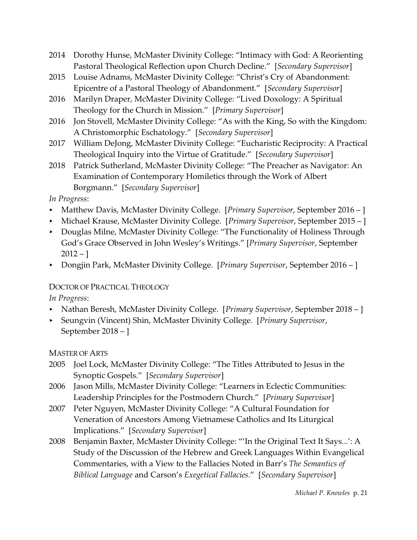- 2014 Dorothy Hunse, McMaster Divinity College: "Intimacy with God: A Reorienting Pastoral Theological Reflection upon Church Decline." [*Secondary Supervisor*]
- 2015 Louise Adnams, McMaster Divinity College: "Christ's Cry of Abandonment: Epicentre of a Pastoral Theology of Abandonment." [*Secondary Supervisor*]
- 2016 Marilyn Draper, McMaster Divinity College: "Lived Doxology: A Spiritual Theology for the Church in Mission." [*Primary Supervisor*]
- 2016 Jon Stovell, McMaster Divinity College: "As with the King, So with the Kingdom: A Christomorphic Eschatology." [*Secondary Supervisor*]
- 2017 William DeJong, McMaster Divinity College: "Eucharistic Reciprocity: A Practical Theological Inquiry into the Virtue of Gratitude." [*Secondary Supervisor*]
- 2018 Patrick Sutherland, McMaster Divinity College: "The Preacher as Navigator: An Examination of Contemporary Homiletics through the Work of Albert Borgmann." [*Secondary Supervisor*]

*In Progress*:

- < Matthew Davis, McMaster Divinity College. [*Primary Supervisor*, September 2016 ]
- < Michael Krause, McMaster Divinity College. [*Primary Supervisor*, September 2015 ]
- Douglas Milne, McMaster Divinity College: "The Functionality of Holiness Through God's Grace Observed in John Wesley's Writings." [*Primary Supervisor*, September  $2012 -$ ]
- < Dongjin Park, McMaster Divinity College. [*Primary Supervisor*, September 2016 ]

# DOCTOR OF PRACTICAL THEOLOGY

*In Progress*:

- < Nathan Beresh, McMaster Divinity College. [*Primary Supervisor*, September 2018 ]
- < Seungvin (Vincent) Shin, McMaster Divinity College. [*Primary Supervisor*, September 2018 – ]

MASTER OF ARTS

- 2005 Joel Lock, McMaster Divinity College: "The Titles Attributed to Jesus in the Synoptic Gospels." [*Secondary Supervisor*]
- 2006 Jason Mills, McMaster Divinity College: "Learners in Eclectic Communities: Leadership Principles for the Postmodern Church." [*Primary Supervisor*]
- 2007 Peter Nguyen, McMaster Divinity College: "A Cultural Foundation for Veneration of Ancestors Among Vietnamese Catholics and Its Liturgical Implications." [*Secondary Supervisor*]
- 2008 Benjamin Baxter, McMaster Divinity College: "'In the Original Text It Says...': A Study of the Discussion of the Hebrew and Greek Languages Within Evangelical Commentaries, with a View to the Fallacies Noted in Barr's *The Semantics of Biblical Language* and Carson's *Exegetical Fallacies*." [*Secondary Supervisor*]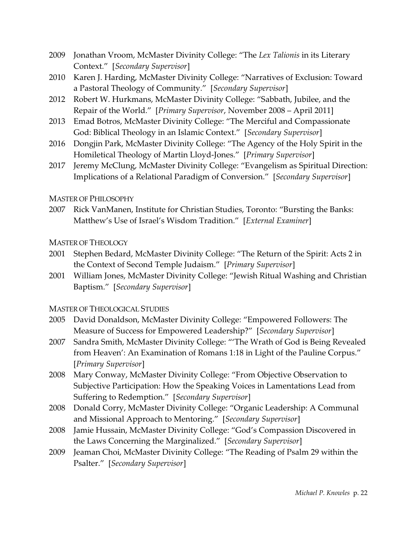- 2009 Jonathan Vroom, McMaster Divinity College: "The *Lex Talionis* in its Literary Context." [*Secondary Supervisor*]
- 2010 Karen J. Harding, McMaster Divinity College: "Narratives of Exclusion: Toward a Pastoral Theology of Community." [*Secondary Supervisor*]
- 2012 Robert W. Hurkmans, McMaster Divinity College: "Sabbath, Jubilee, and the Repair of the World." [*Primary Supervisor*, November 2008 – April 2011]
- 2013 Emad Botros, McMaster Divinity College: "The Merciful and Compassionate God: Biblical Theology in an Islamic Context." [*Secondary Supervisor*]
- 2016 Dongjin Park, McMaster Divinity College: "The Agency of the Holy Spirit in the Homiletical Theology of Martin Lloyd-Jones." [*Primary Supervisor*]
- 2017 Jeremy McClung, McMaster Divinity College: "Evangelism as Spiritual Direction: Implications of a Relational Paradigm of Conversion." [*Secondary Supervisor*]

MASTER OF PHILOSOPHY

2007 Rick VanManen, Institute for Christian Studies, Toronto: "Bursting the Banks: Matthew's Use of Israel's Wisdom Tradition." [*External Examiner*]

MASTER OF THEOLOGY

- 2001 Stephen Bedard, McMaster Divinity College: "The Return of the Spirit: Acts 2 in the Context of Second Temple Judaism." [*Primary Supervisor*]
- 2001 William Jones, McMaster Divinity College: "Jewish Ritual Washing and Christian Baptism." [*Secondary Supervisor*]

## MASTER OF THEOLOGICAL STUDIES

- 2005 David Donaldson, McMaster Divinity College: "Empowered Followers: The Measure of Success for Empowered Leadership?" [*Secondary Supervisor*]
- 2007 Sandra Smith, McMaster Divinity College: "'The Wrath of God is Being Revealed from Heaven': An Examination of Romans 1:18 in Light of the Pauline Corpus." [*Primary Supervisor*]
- 2008 Mary Conway, McMaster Divinity College: "From Objective Observation to Subjective Participation: How the Speaking Voices in Lamentations Lead from Suffering to Redemption." [*Secondary Supervisor*]
- 2008 Donald Corry, McMaster Divinity College: "Organic Leadership: A Communal and Missional Approach to Mentoring." [*Secondary Supervisor*]
- 2008 Jamie Hussain, McMaster Divinity College: "God's Compassion Discovered in the Laws Concerning the Marginalized." [*Secondary Supervisor*]
- 2009 Jeaman Choi, McMaster Divinity College: "The Reading of Psalm 29 within the Psalter." [*Secondary Supervisor*]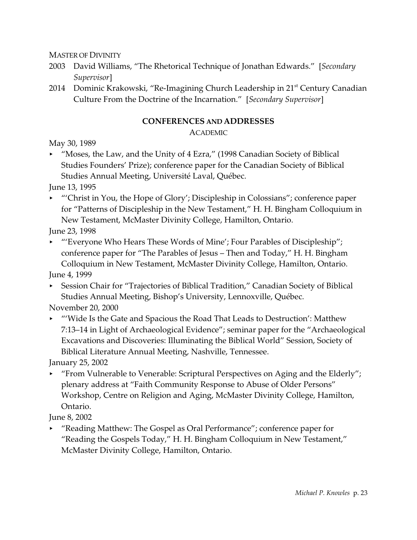MASTER OF DIVINITY

- 2003 David Williams, "The Rhetorical Technique of Jonathan Edwards." [*Secondary Supervisor*]
- 2014 Dominic Krakowski, "Re-Imagining Church Leadership in 21<sup>st</sup> Century Canadian Culture From the Doctrine of the Incarnation." [*Secondary Supervisor*]

## **CONFERENCES AND ADDRESSES**

ACADEMIC

May 30, 1989

▶ "Moses, the Law, and the Unity of 4 Ezra," (1998 Canadian Society of Biblical Studies Founders' Prize); conference paper for the Canadian Society of Biblical Studies Annual Meeting, Université Laval, Québec.

June 13, 1995

• "'Christ in You, the Hope of Glory'; Discipleship in Colossians"; conference paper for "Patterns of Discipleship in the New Testament," H. H. Bingham Colloquium in New Testament, McMaster Divinity College, Hamilton, Ontario.

June 23, 1998

► "Everyone Who Hears These Words of Mine'; Four Parables of Discipleship"; conference paper for "The Parables of Jesus – Then and Today," H. H. Bingham Colloquium in New Testament, McMaster Divinity College, Hamilton, Ontario.

June 4, 1999

< Session Chair for "Trajectories of Biblical Tradition," Canadian Society of Biblical Studies Annual Meeting, Bishop's University, Lennoxville, Québec.

November 20, 2000

< "'Wide Is the Gate and Spacious the Road That Leads to Destruction': Matthew 7:13–14 in Light of Archaeological Evidence"; seminar paper for the "Archaeological Excavations and Discoveries: Illuminating the Biblical World" Session, Society of Biblical Literature Annual Meeting, Nashville, Tennessee.

January 25, 2002

**Fight** "From Vulnerable to Venerable: Scriptural Perspectives on Aging and the Elderly"; plenary address at "Faith Community Response to Abuse of Older Persons" Workshop, Centre on Religion and Aging, McMaster Divinity College, Hamilton, Ontario.

June 8, 2002

► "Reading Matthew: The Gospel as Oral Performance"; conference paper for "Reading the Gospels Today," H. H. Bingham Colloquium in New Testament," McMaster Divinity College, Hamilton, Ontario.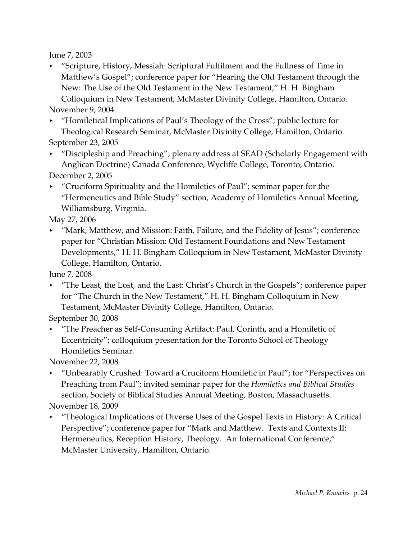June 7, 2003

< "Scripture, History, Messiah: Scriptural Fulfilment and the Fullness of Time in Matthew's Gospel"; conference paper for "Hearing the Old Testament through the New: The Use of the Old Testament in the New Testament," H. H. Bingham Colloquium in New Testament, McMaster Divinity College, Hamilton, Ontario. November 9, 2004

< "Homiletical Implications of Paul's Theology of the Cross"; public lecture for Theological Research Seminar, McMaster Divinity College, Hamilton, Ontario. September 23, 2005

• "Discipleship and Preaching"; plenary address at SEAD (Scholarly Engagement with Anglican Doctrine) Canada Conference, Wycliffe College, Toronto, Ontario.

December 2, 2005

< "Cruciform Spirituality and the Homiletics of Paul"; seminar paper for the "Hermeneutics and Bible Study" section, Academy of Homiletics Annual Meeting, Williamsburg, Virginia.

May 27, 2006

► "Mark, Matthew, and Mission: Faith, Failure, and the Fidelity of Jesus"; conference paper for "Christian Mission: Old Testament Foundations and New Testament Developments," H. H. Bingham Colloquium in New Testament, McMaster Divinity College, Hamilton, Ontario.

June 7, 2008

< "The Least, the Lost, and the Last: Christ's Church in the Gospels"; conference paper for "The Church in the New Testament," H. H. Bingham Colloquium in New Testament, McMaster Divinity College, Hamilton, Ontario.

September 30, 2008

< "The Preacher as Self-Consuming Artifact: Paul, Corinth, and a Homiletic of Eccentricity"; colloquium presentation for the Toronto School of Theology Homiletics Seminar.

November 22, 2008

► "Unbearably Crushed: Toward a Cruciform Homiletic in Paul"; for "Perspectives on Preaching from Paul"; invited seminar paper for the *Homiletics and Biblical Studies* section, Society of Biblical Studies Annual Meeting, Boston, Massachusetts.

November 18, 2009

< "Theological Implications of Diverse Uses of the Gospel Texts in History: A Critical Perspective"; conference paper for "Mark and Matthew. Texts and Contexts II: Hermeneutics, Reception History, Theology. An International Conference," McMaster University, Hamilton, Ontario.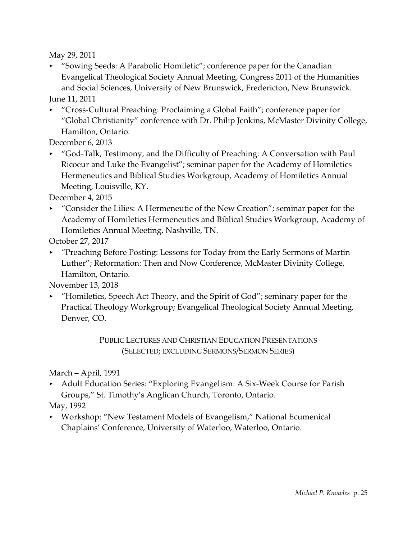May 29, 2011

< "Sowing Seeds: A Parabolic Homiletic"; conference paper for the Canadian Evangelical Theological Society Annual Meeting, Congress 2011 of the Humanities and Social Sciences, University of New Brunswick, Fredericton, New Brunswick.

June 11, 2011

▶ "Cross-Cultural Preaching: Proclaiming a Global Faith"; conference paper for "Global Christianity" conference with Dr. Philip Jenkins, McMaster Divinity College, Hamilton, Ontario.

December 6, 2013

< "God-Talk, Testimony, and the Difficulty of Preaching: A Conversation with Paul Ricoeur and Luke the Evangelist"; seminar paper for the Academy of Homiletics Hermeneutics and Biblical Studies Workgroup, Academy of Homiletics Annual Meeting, Louisville, KY.

December 4, 2015

**EXCONSTANGER 12 THE VIOLET STANGER FOR THE LILIES:** A Hermeneutic of the New Creation"; seminar paper for the Academy of Homiletics Hermeneutics and Biblical Studies Workgroup, Academy of Homiletics Annual Meeting, Nashville, TN.

October 27, 2017

< "Preaching Before Posting: Lessons for Today from the Early Sermons of Martin Luther"; Reformation: Then and Now Conference, McMaster Divinity College, Hamilton, Ontario.

November 13, 2018

 $\blacktriangleright$  "Homiletics, Speech Act Theory, and the Spirit of God"; seminary paper for the Practical Theology Workgroup; Evangelical Theological Society Annual Meeting, Denver, CO.

> PUBLIC LECTURES AND CHRISTIAN EDUCATION PRESENTATIONS (SELECTED; EXCLUDING SERMONS/SERMON SERIES)

March – April, 1991

< Adult Education Series: "Exploring Evangelism: A Six-Week Course for Parish Groups," St. Timothy's Anglican Church, Toronto, Ontario.

May, 1992

< Workshop: "New Testament Models of Evangelism," National Ecumenical Chaplains' Conference, University of Waterloo, Waterloo, Ontario.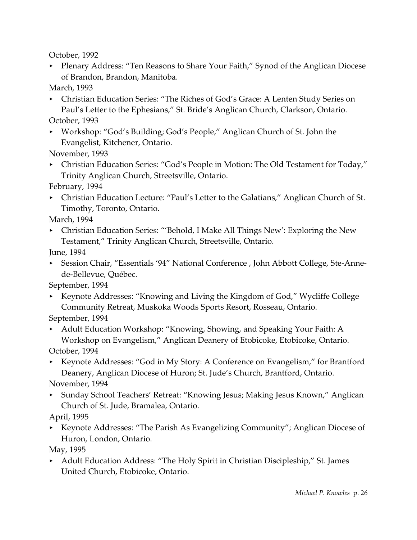October, 1992

▶ Plenary Address: "Ten Reasons to Share Your Faith," Synod of the Anglican Diocese of Brandon, Brandon, Manitoba.

March, 1993

- < Christian Education Series: "The Riches of God's Grace: A Lenten Study Series on Paul's Letter to the Ephesians," St. Bride's Anglican Church, Clarkson, Ontario.
- October, 1993
- < Workshop: "God's Building; God's People," Anglican Church of St. John the Evangelist, Kitchener, Ontario.

November, 1993

• Christian Education Series: "God's People in Motion: The Old Testament for Today," Trinity Anglican Church, Streetsville, Ontario.

February, 1994

• Christian Education Lecture: "Paul's Letter to the Galatians," Anglican Church of St. Timothy, Toronto, Ontario.

March, 1994

• Christian Education Series: "'Behold, I Make All Things New': Exploring the New Testament," Trinity Anglican Church, Streetsville, Ontario.

June, 1994

▶ Session Chair, "Essentials '94" National Conference, John Abbott College, Ste-Annede-Bellevue, Québec.

September, 1994

< Keynote Addresses: "Knowing and Living the Kingdom of God," Wycliffe College Community Retreat, Muskoka Woods Sports Resort, Rosseau, Ontario.

September, 1994

< Adult Education Workshop: "Knowing, Showing, and Speaking Your Faith: A Workshop on Evangelism," Anglican Deanery of Etobicoke, Etobicoke, Ontario.

October, 1994

► Keynote Addresses: "God in My Story: A Conference on Evangelism," for Brantford Deanery, Anglican Diocese of Huron; St. Jude's Church, Brantford, Ontario.

November, 1994

▶ Sunday School Teachers' Retreat: "Knowing Jesus; Making Jesus Known," Anglican Church of St. Jude, Bramalea, Ontario.

April, 1995

< Keynote Addresses: "The Parish As Evangelizing Community"; Anglican Diocese of Huron, London, Ontario.

May, 1995

< Adult Education Address: "The Holy Spirit in Christian Discipleship," St. James United Church, Etobicoke, Ontario.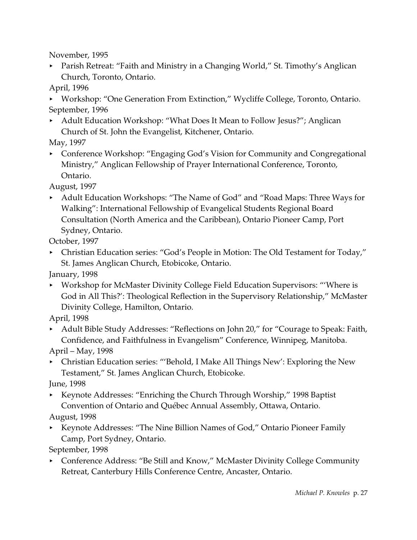November, 1995

▶ Parish Retreat: "Faith and Ministry in a Changing World," St. Timothy's Anglican Church, Toronto, Ontario.

April, 1996

▶ Workshop: "One Generation From Extinction," Wycliffe College, Toronto, Ontario. September, 1996

▶ Adult Education Workshop: "What Does It Mean to Follow Jesus?"; Anglican Church of St. John the Evangelist, Kitchener, Ontario.

May, 1997

▶ Conference Workshop: "Engaging God's Vision for Community and Congregational Ministry," Anglican Fellowship of Prayer International Conference, Toronto, Ontario.

August, 1997

▶ Adult Education Workshops: "The Name of God" and "Road Maps: Three Ways for Walking": International Fellowship of Evangelical Students Regional Board Consultation (North America and the Caribbean), Ontario Pioneer Camp, Port Sydney, Ontario.

October, 1997

• Christian Education series: "God's People in Motion: The Old Testament for Today," St. James Anglican Church, Etobicoke, Ontario.

January, 1998

< Workshop for McMaster Divinity College Field Education Supervisors: "'Where is God in All This?': Theological Reflection in the Supervisory Relationship," McMaster Divinity College, Hamilton, Ontario.

April, 1998

< Adult Bible Study Addresses: "Reflections on John 20," for "Courage to Speak: Faith, Confidence, and Faithfulness in Evangelism" Conference, Winnipeg, Manitoba.

April – May, 1998

• Christian Education series: "'Behold, I Make All Things New': Exploring the New Testament," St. James Anglican Church, Etobicoke.

June, 1998

► Keynote Addresses: "Enriching the Church Through Worship," 1998 Baptist Convention of Ontario and Québec Annual Assembly, Ottawa, Ontario.

August, 1998

< Keynote Addresses: "The Nine Billion Names of God," Ontario Pioneer Family Camp, Port Sydney, Ontario.

September, 1998

**EXECO Address: "Be Still and Know," McMaster Divinity College Community** Retreat, Canterbury Hills Conference Centre, Ancaster, Ontario.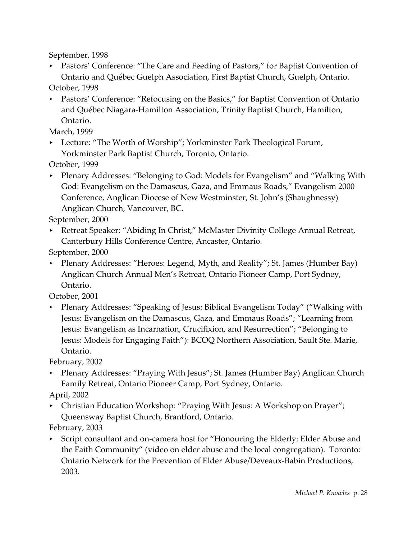September, 1998

< Pastors' Conference: "The Care and Feeding of Pastors," for Baptist Convention of Ontario and Québec Guelph Association, First Baptist Church, Guelph, Ontario.

October, 1998

< Pastors' Conference: "Refocusing on the Basics," for Baptist Convention of Ontario and Québec Niagara-Hamilton Association, Trinity Baptist Church, Hamilton, Ontario.

March, 1999

► Lecture: "The Worth of Worship"; Yorkminster Park Theological Forum, Yorkminster Park Baptist Church, Toronto, Ontario.

October, 1999

• Plenary Addresses: "Belonging to God: Models for Evangelism" and "Walking With God: Evangelism on the Damascus, Gaza, and Emmaus Roads," Evangelism 2000 Conference, Anglican Diocese of New Westminster, St. John's (Shaughnessy) Anglican Church, Vancouver, BC.

September, 2000

▶ Retreat Speaker: "Abiding In Christ," McMaster Divinity College Annual Retreat, Canterbury Hills Conference Centre, Ancaster, Ontario.

September, 2000

• Plenary Addresses: "Heroes: Legend, Myth, and Reality"; St. James (Humber Bay) Anglican Church Annual Men's Retreat, Ontario Pioneer Camp, Port Sydney, Ontario.

October, 2001

• Plenary Addresses: "Speaking of Jesus: Biblical Evangelism Today" ("Walking with Jesus: Evangelism on the Damascus, Gaza, and Emmaus Roads"; "Learning from Jesus: Evangelism as Incarnation, Crucifixion, and Resurrection"; "Belonging to Jesus: Models for Engaging Faith"): BCOQ Northern Association, Sault Ste. Marie, Ontario.

February, 2002

< Plenary Addresses: "Praying With Jesus"; St. James (Humber Bay) Anglican Church Family Retreat, Ontario Pioneer Camp, Port Sydney, Ontario.

April, 2002

• Christian Education Workshop: "Praying With Jesus: A Workshop on Prayer"; Queensway Baptist Church, Brantford, Ontario.

February, 2003

< Script consultant and on-camera host for "Honouring the Elderly: Elder Abuse and the Faith Community" (video on elder abuse and the local congregation). Toronto: Ontario Network for the Prevention of Elder Abuse/Deveaux-Babin Productions, 2003.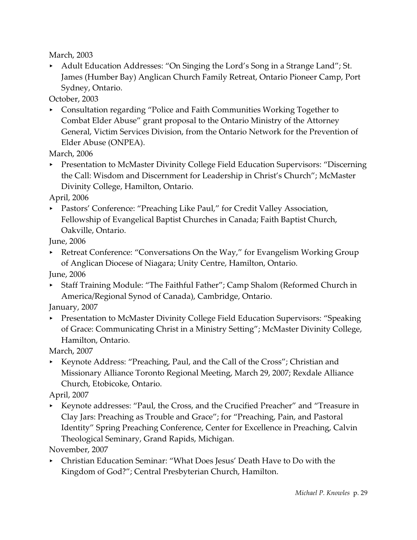March, 2003

Adult Education Addresses: "On Singing the Lord's Song in a Strange Land"; St. James (Humber Bay) Anglican Church Family Retreat, Ontario Pioneer Camp, Port Sydney, Ontario.

October, 2003

**EXECONSERVITG:** Consultation regarding "Police and Faith Communities Working Together to Combat Elder Abuse" grant proposal to the Ontario Ministry of the Attorney General, Victim Services Division, from the Ontario Network for the Prevention of Elder Abuse (ONPEA).

March, 2006

**Presentation to McMaster Divinity College Field Education Supervisors: "Discerning"** the Call: Wisdom and Discernment for Leadership in Christ's Church"; McMaster Divinity College, Hamilton, Ontario.

April, 2006

**EXECUTE:** Pastors' Conference: "Preaching Like Paul," for Credit Valley Association, Fellowship of Evangelical Baptist Churches in Canada; Faith Baptist Church, Oakville, Ontario.

June, 2006

▶ Retreat Conference: "Conversations On the Way," for Evangelism Working Group of Anglican Diocese of Niagara; Unity Centre, Hamilton, Ontario.

June, 2006

< Staff Training Module: "The Faithful Father"; Camp Shalom (Reformed Church in America/Regional Synod of Canada), Cambridge, Ontario.

January, 2007

**Presentation to McMaster Divinity College Field Education Supervisors: "Speaking"** of Grace: Communicating Christ in a Ministry Setting"; McMaster Divinity College, Hamilton, Ontario.

March, 2007

< Keynote Address: "Preaching, Paul, and the Call of the Cross"; Christian and Missionary Alliance Toronto Regional Meeting, March 29, 2007; Rexdale Alliance Church, Etobicoke, Ontario.

April, 2007

< Keynote addresses: "Paul, the Cross, and the Crucified Preacher" and "Treasure in Clay Jars: Preaching as Trouble and Grace"; for "Preaching, Pain, and Pastoral Identity" Spring Preaching Conference, Center for Excellence in Preaching, Calvin Theological Seminary, Grand Rapids, Michigan.

November, 2007

< Christian Education Seminar: "What Does Jesus' Death Have to Do with the Kingdom of God?"; Central Presbyterian Church, Hamilton.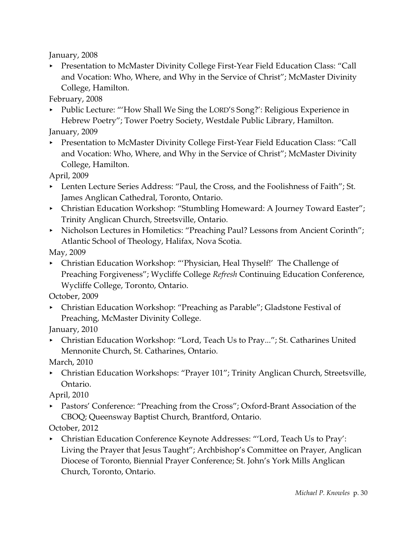January, 2008

**Presentation to McMaster Divinity College First-Year Field Education Class: "Call** and Vocation: Who, Where, and Why in the Service of Christ"; McMaster Divinity College, Hamilton.

February, 2008

- Public Lecture: "'How Shall We Sing the LORD'S Song?': Religious Experience in Hebrew Poetry"; Tower Poetry Society, Westdale Public Library, Hamilton. January, 2009
- **Presentation to McMaster Divinity College First-Year Field Education Class: "Call** and Vocation: Who, Where, and Why in the Service of Christ"; McMaster Divinity College, Hamilton.

April, 2009

- **EXECT:** Lenten Lecture Series Address: "Paul, the Cross, and the Foolishness of Faith"; St. James Anglican Cathedral, Toronto, Ontario.
- Christian Education Workshop: "Stumbling Homeward: A Journey Toward Easter"; Trinity Anglican Church, Streetsville, Ontario.
- Nicholson Lectures in Homiletics: "Preaching Paul? Lessons from Ancient Corinth"; Atlantic School of Theology, Halifax, Nova Scotia.

May, 2009

• Christian Education Workshop: "'Physician, Heal Thyself!' The Challenge of Preaching Forgiveness"; Wycliffe College *Refresh* Continuing Education Conference, Wycliffe College, Toronto, Ontario.

October, 2009

• Christian Education Workshop: "Preaching as Parable"; Gladstone Festival of Preaching, McMaster Divinity College.

January, 2010

▶ Christian Education Workshop: "Lord, Teach Us to Pray..."; St. Catharines United Mennonite Church, St. Catharines, Ontario.

March, 2010

< Christian Education Workshops: "Prayer 101"; Trinity Anglican Church, Streetsville, Ontario.

April, 2010

• Pastors' Conference: "Preaching from the Cross"; Oxford-Brant Association of the CBOQ; Queensway Baptist Church, Brantford, Ontario.

October, 2012

< Christian Education Conference Keynote Addresses: "'Lord, Teach Us to Pray': Living the Prayer that Jesus Taught"; Archbishop's Committee on Prayer, Anglican Diocese of Toronto, Biennial Prayer Conference; St. John's York Mills Anglican Church, Toronto, Ontario.